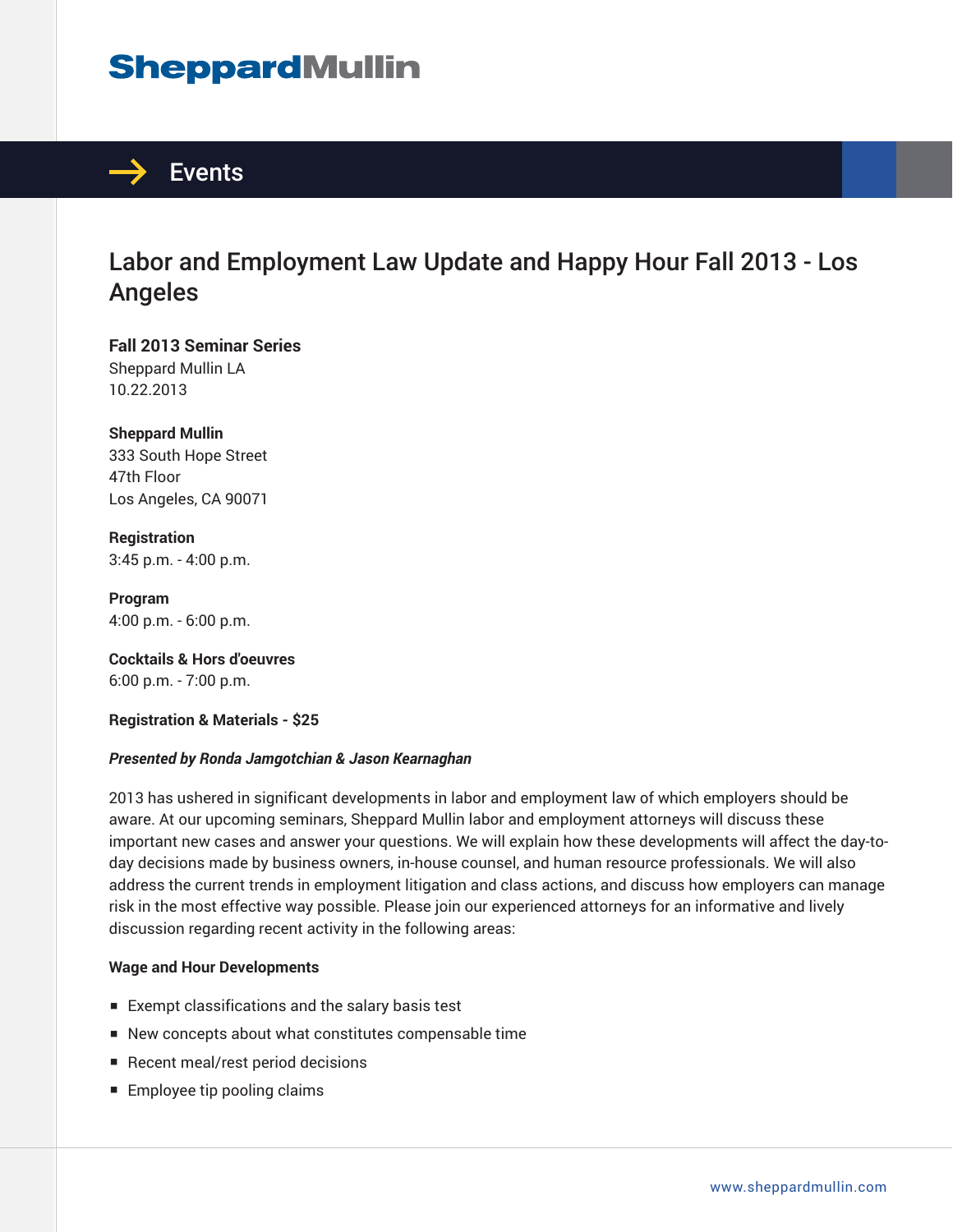# **SheppardMullin**



## Labor and Employment Law Update and Happy Hour Fall 2013 - Los Angeles

**Fall 2013 Seminar Series** Sheppard Mullin LA 10.22.2013

**Sheppard Mullin** 333 South Hope Street 47th Floor Los Angeles, CA 90071

**Registration** 3:45 p.m. - 4:00 p.m.

**Program** 4:00 p.m. - 6:00 p.m.

**Cocktails & Hors d'oeuvres** 6:00 p.m. - 7:00 p.m.

**Registration & Materials - \$25**

#### *Presented by Ronda Jamgotchian & Jason Kearnaghan*

2013 has ushered in significant developments in labor and employment law of which employers should be aware. At our upcoming seminars, Sheppard Mullin labor and employment attorneys will discuss these important new cases and answer your questions. We will explain how these developments will affect the day-today decisions made by business owners, in-house counsel, and human resource professionals. We will also address the current trends in employment litigation and class actions, and discuss how employers can manage risk in the most effective way possible. Please join our experienced attorneys for an informative and lively discussion regarding recent activity in the following areas:

#### **Wage and Hour Developments**

- Exempt classifications and the salary basis test
- New concepts about what constitutes compensable time
- Recent meal/rest period decisions
- Employee tip pooling claims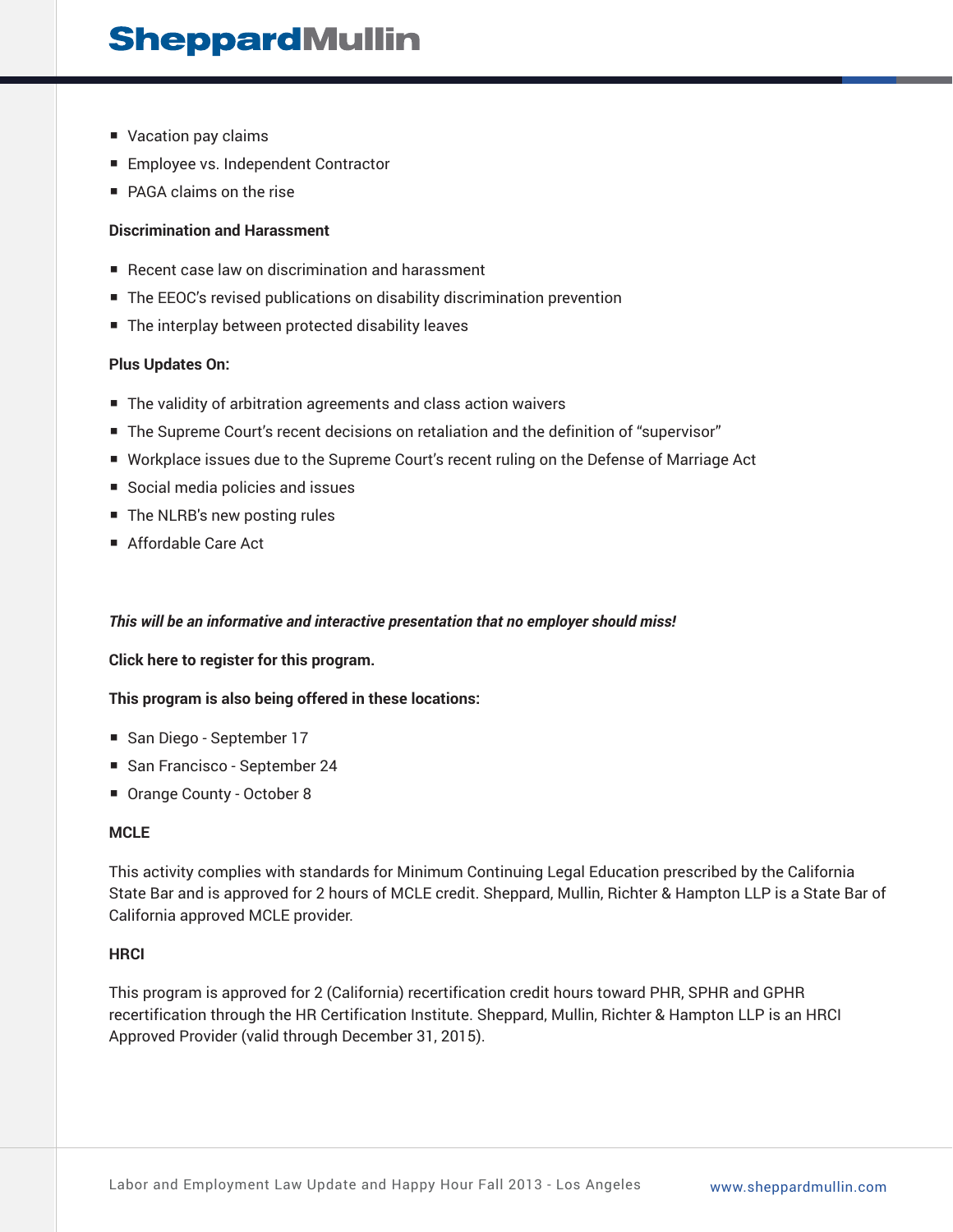## **SheppardMullin**

- Vacation pay claims
- Employee vs. Independent Contractor
- PAGA claims on the rise

#### **Discrimination and Harassment**

- Recent case law on discrimination and harassment
- The EEOC's revised publications on disability discrimination prevention
- The interplay between protected disability leaves

#### **Plus Updates On:**

- The validity of arbitration agreements and class action waivers
- The Supreme Court's recent decisions on retaliation and the definition of "supervisor"
- Workplace issues due to the Supreme Court's recent ruling on the Defense of Marriage Act
- Social media policies and issues
- The NLRB's new posting rules
- Affordable Care Act

#### *This will be an informative and interactive presentation that no employer should miss!*

#### **Click here to register for this program.**

#### **This program is also being offered in these locations:**

- San Diego September 17
- San Francisco September 24
- Orange County October 8

#### **MCLE**

This activity complies with standards for Minimum Continuing Legal Education prescribed by the California State Bar and is approved for 2 hours of MCLE credit. Sheppard, Mullin, Richter & Hampton LLP is a State Bar of California approved MCLE provider.

#### **HRCI**

This program is approved for 2 (California) recertification credit hours toward PHR, SPHR and GPHR recertification through the HR Certification Institute. Sheppard, Mullin, Richter & Hampton LLP is an HRCI Approved Provider (valid through December 31, 2015).